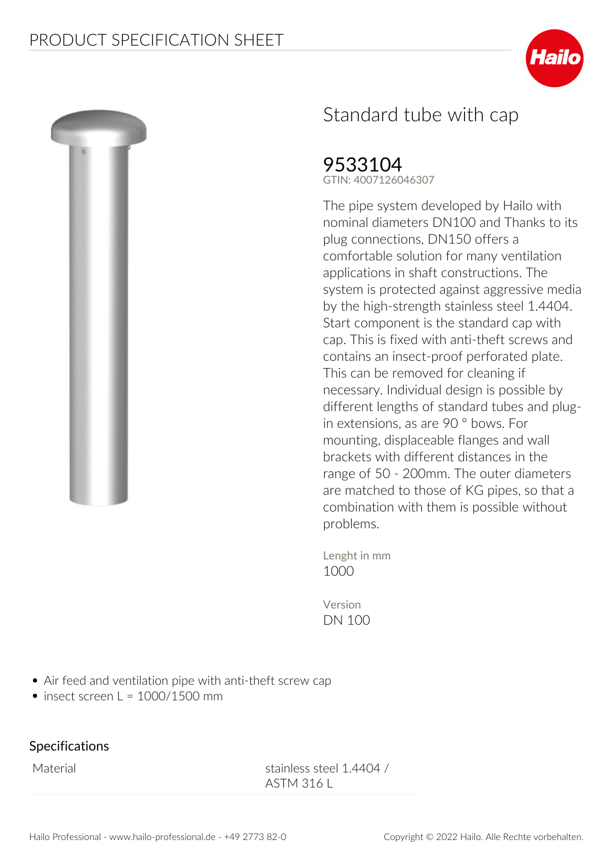



## Standard tube with cap

## 9533104

**GTIN: 4007126046307**

**The pipe system developed by Hailo with nominal diameters DN100 and Thanks to its plug connections, DN150 offers a comfortable solution for many ventilation applications in shaft constructions. The system is protected against aggressive media by the high-strength stainless steel 1.4404. Start component is the standard cap with cap. This is fixed with anti-theft screws and contains an insect-proof perforated plate. This can be removed for cleaning if necessary. Individual design is possible by different lengths of standard tubes and plugin extensions, as are 90 ° bows. For mounting, displaceable flanges and wall brackets with different distances in the range of 50 - 200mm. The outer diameters are matched to those of KG pipes, so that a combination with them is possible without problems.**

**Lenght in mm** 1000

**Version** DN 100

- Air feed and ventilation pipe with anti-theft screw cap
- $\bullet$  insect screen L = 1000/1500 mm

## **Specifications**

Material Material stainless steel 1.4404 / ASTM 316 L